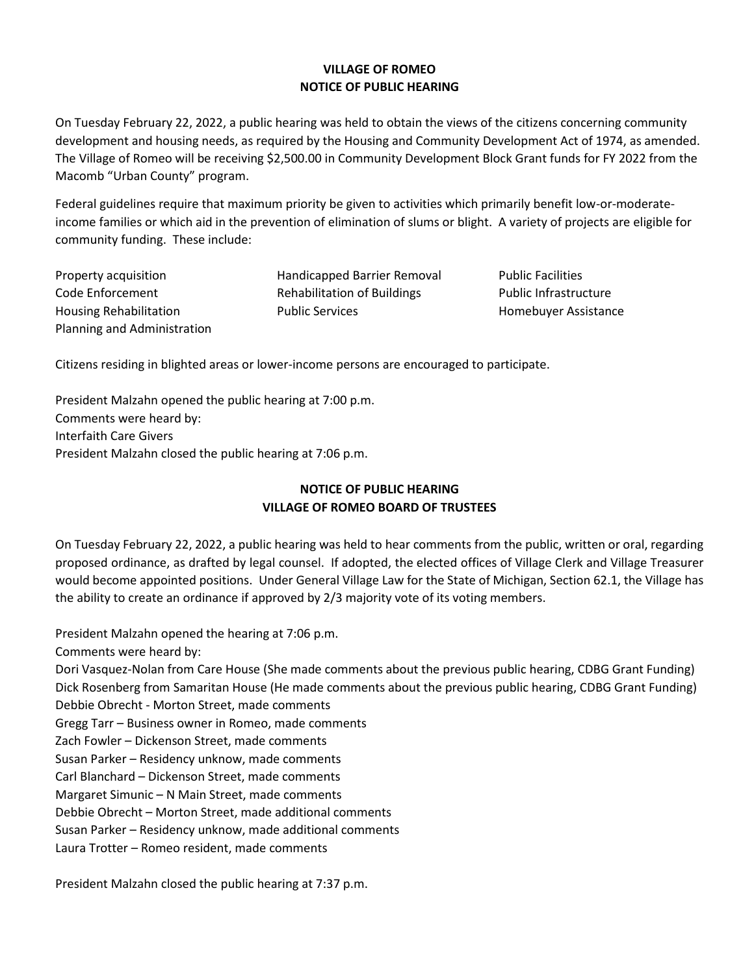#### **VILLAGE OF ROMEO NOTICE OF PUBLIC HEARING**

On Tuesday February 22, 2022, a public hearing was held to obtain the views of the citizens concerning community development and housing needs, as required by the Housing and Community Development Act of 1974, as amended. The Village of Romeo will be receiving \$2,500.00 in Community Development Block Grant funds for FY 2022 from the Macomb "Urban County" program.

Federal guidelines require that maximum priority be given to activities which primarily benefit low-or-moderateincome families or which aid in the prevention of elimination of slums or blight. A variety of projects are eligible for community funding. These include:

| Property acquisition          |
|-------------------------------|
| Code Enforcement              |
| <b>Housing Rehabilitation</b> |
| Planning and Administration   |

Handicapped Barrier Removal Public Facilities Rehabilitation of Buildings Public Infrastructure Public Services **Homebuyer Assistance** 

Citizens residing in blighted areas or lower-income persons are encouraged to participate.

President Malzahn opened the public hearing at 7:00 p.m. Comments were heard by: Interfaith Care Givers President Malzahn closed the public hearing at 7:06 p.m.

# **NOTICE OF PUBLIC HEARING VILLAGE OF ROMEO BOARD OF TRUSTEES**

On Tuesday February 22, 2022, a public hearing was held to hear comments from the public, written or oral, regarding proposed ordinance, as drafted by legal counsel. If adopted, the elected offices of Village Clerk and Village Treasurer would become appointed positions. Under General Village Law for the State of Michigan, Section 62.1, the Village has the ability to create an ordinance if approved by 2/3 majority vote of its voting members.

President Malzahn opened the hearing at 7:06 p.m.

Comments were heard by:

Dori Vasquez-Nolan from Care House (She made comments about the previous public hearing, CDBG Grant Funding) Dick Rosenberg from Samaritan House (He made comments about the previous public hearing, CDBG Grant Funding) Debbie Obrecht - Morton Street, made comments

Gregg Tarr – Business owner in Romeo, made comments

Zach Fowler – Dickenson Street, made comments

Susan Parker – Residency unknow, made comments

Carl Blanchard – Dickenson Street, made comments

Margaret Simunic – N Main Street, made comments

Debbie Obrecht – Morton Street, made additional comments

Susan Parker – Residency unknow, made additional comments

Laura Trotter – Romeo resident, made comments

President Malzahn closed the public hearing at 7:37 p.m.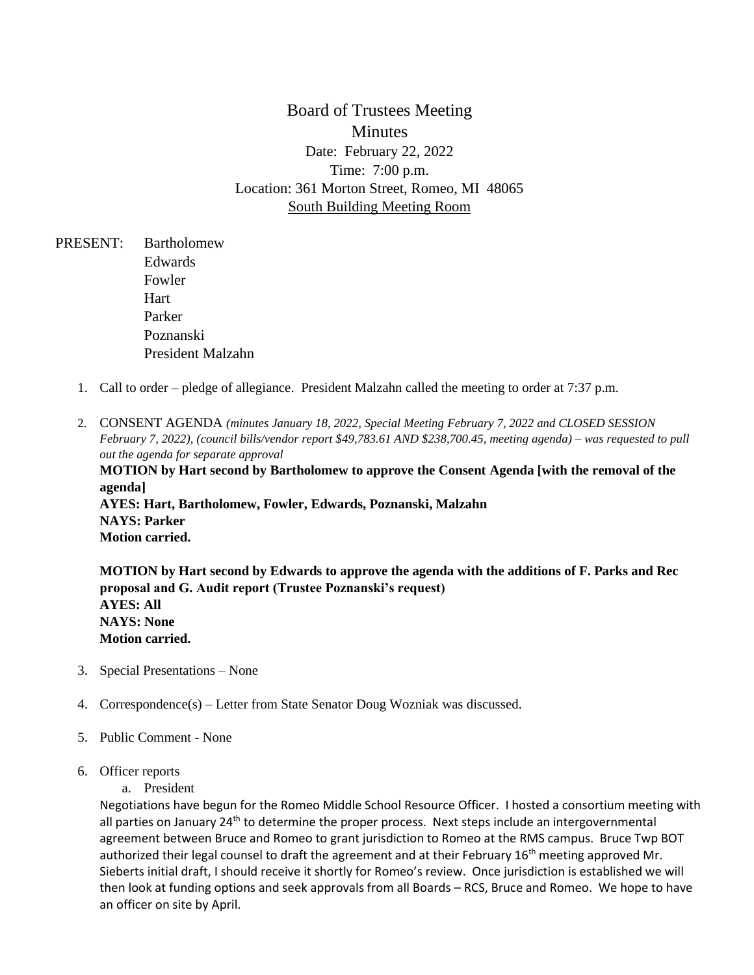Board of Trustees Meeting **Minutes** Date: February 22, 2022 Time: 7:00 p.m. Location: 361 Morton Street, Romeo, MI 48065 South Building Meeting Room

- PRESENT: Bartholomew Edwards Fowler Hart Parker Poznanski President Malzahn
	- 1. Call to order pledge of allegiance. President Malzahn called the meeting to order at 7:37 p.m.
	- 2. CONSENT AGENDA *(minutes January 18, 2022, Special Meeting February 7, 2022 and CLOSED SESSION February 7, 2022), (council bills/vendor report \$49,783.61 AND \$238,700.45, meeting agenda) – was requested to pull out the agenda for separate approval* **MOTION by Hart second by Bartholomew to approve the Consent Agenda [with the removal of the agenda] AYES: Hart, Bartholomew, Fowler, Edwards, Poznanski, Malzahn NAYS: Parker Motion carried.**

**MOTION by Hart second by Edwards to approve the agenda with the additions of F. Parks and Rec proposal and G. Audit report (Trustee Poznanski's request) AYES: All NAYS: None Motion carried.** 

- 3. Special Presentations None
- 4. Correspondence(s) Letter from State Senator Doug Wozniak was discussed.
- 5. Public Comment None
- 6. Officer reports
	- a. President

Negotiations have begun for the Romeo Middle School Resource Officer. I hosted a consortium meeting with all parties on January  $24<sup>th</sup>$  to determine the proper process. Next steps include an intergovernmental agreement between Bruce and Romeo to grant jurisdiction to Romeo at the RMS campus. Bruce Twp BOT authorized their legal counsel to draft the agreement and at their February 16<sup>th</sup> meeting approved Mr. Sieberts initial draft, I should receive it shortly for Romeo's review. Once jurisdiction is established we will then look at funding options and seek approvals from all Boards – RCS, Bruce and Romeo. We hope to have an officer on site by April.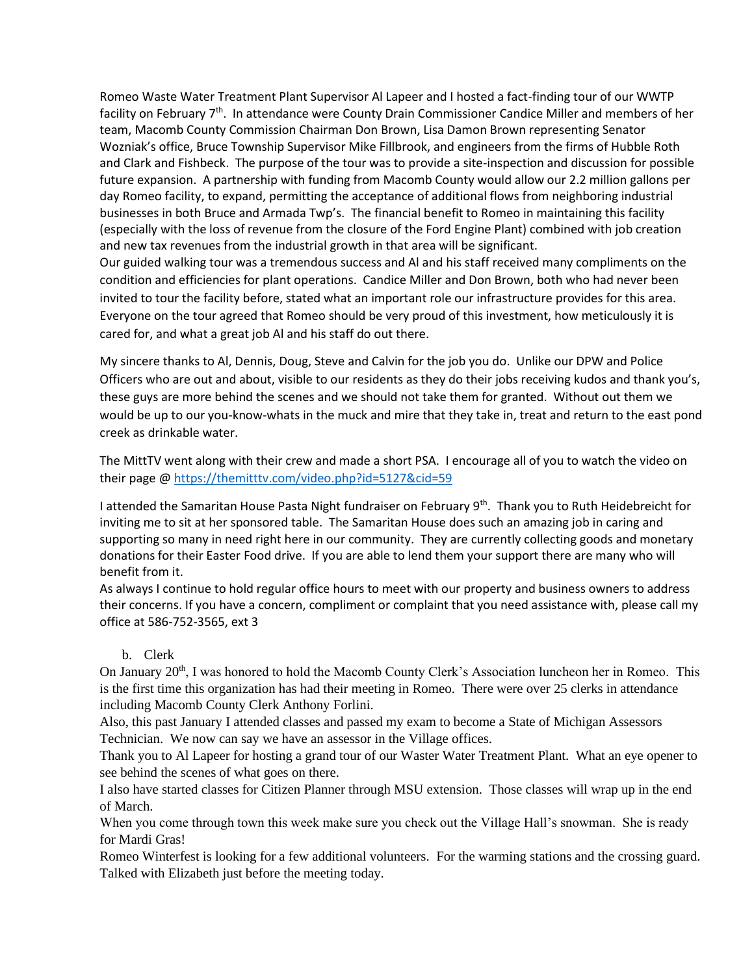Romeo Waste Water Treatment Plant Supervisor Al Lapeer and I hosted a fact-finding tour of our WWTP facility on February 7<sup>th</sup>. In attendance were County Drain Commissioner Candice Miller and members of her team, Macomb County Commission Chairman Don Brown, Lisa Damon Brown representing Senator Wozniak's office, Bruce Township Supervisor Mike Fillbrook, and engineers from the firms of Hubble Roth and Clark and Fishbeck. The purpose of the tour was to provide a site-inspection and discussion for possible future expansion. A partnership with funding from Macomb County would allow our 2.2 million gallons per day Romeo facility, to expand, permitting the acceptance of additional flows from neighboring industrial businesses in both Bruce and Armada Twp's. The financial benefit to Romeo in maintaining this facility (especially with the loss of revenue from the closure of the Ford Engine Plant) combined with job creation and new tax revenues from the industrial growth in that area will be significant. Our guided walking tour was a tremendous success and Al and his staff received many compliments on the

condition and efficiencies for plant operations. Candice Miller and Don Brown, both who had never been invited to tour the facility before, stated what an important role our infrastructure provides for this area. Everyone on the tour agreed that Romeo should be very proud of this investment, how meticulously it is cared for, and what a great job Al and his staff do out there.

My sincere thanks to Al, Dennis, Doug, Steve and Calvin for the job you do. Unlike our DPW and Police Officers who are out and about, visible to our residents as they do their jobs receiving kudos and thank you's, these guys are more behind the scenes and we should not take them for granted. Without out them we would be up to our you-know-whats in the muck and mire that they take in, treat and return to the east pond creek as drinkable water.

The MittTV went along with their crew and made a short PSA. I encourage all of you to watch the video on their page [@ https://themitttv.com/video.php?id=5127&cid=59](https://themitttv.com/video.php?id=5127&cid=59)

I attended the Samaritan House Pasta Night fundraiser on February 9<sup>th</sup>. Thank you to Ruth Heidebreicht for inviting me to sit at her sponsored table. The Samaritan House does such an amazing job in caring and supporting so many in need right here in our community. They are currently collecting goods and monetary donations for their Easter Food drive. If you are able to lend them your support there are many who will benefit from it.

As always I continue to hold regular office hours to meet with our property and business owners to address their concerns. If you have a concern, compliment or complaint that you need assistance with, please call my office at 586-752-3565, ext 3

#### b. Clerk

On January 20<sup>th</sup>, I was honored to hold the Macomb County Clerk's Association luncheon her in Romeo. This is the first time this organization has had their meeting in Romeo. There were over 25 clerks in attendance including Macomb County Clerk Anthony Forlini.

Also, this past January I attended classes and passed my exam to become a State of Michigan Assessors Technician. We now can say we have an assessor in the Village offices.

Thank you to Al Lapeer for hosting a grand tour of our Waster Water Treatment Plant. What an eye opener to see behind the scenes of what goes on there.

I also have started classes for Citizen Planner through MSU extension. Those classes will wrap up in the end of March.

When you come through town this week make sure you check out the Village Hall's snowman. She is ready for Mardi Gras!

Romeo Winterfest is looking for a few additional volunteers. For the warming stations and the crossing guard. Talked with Elizabeth just before the meeting today.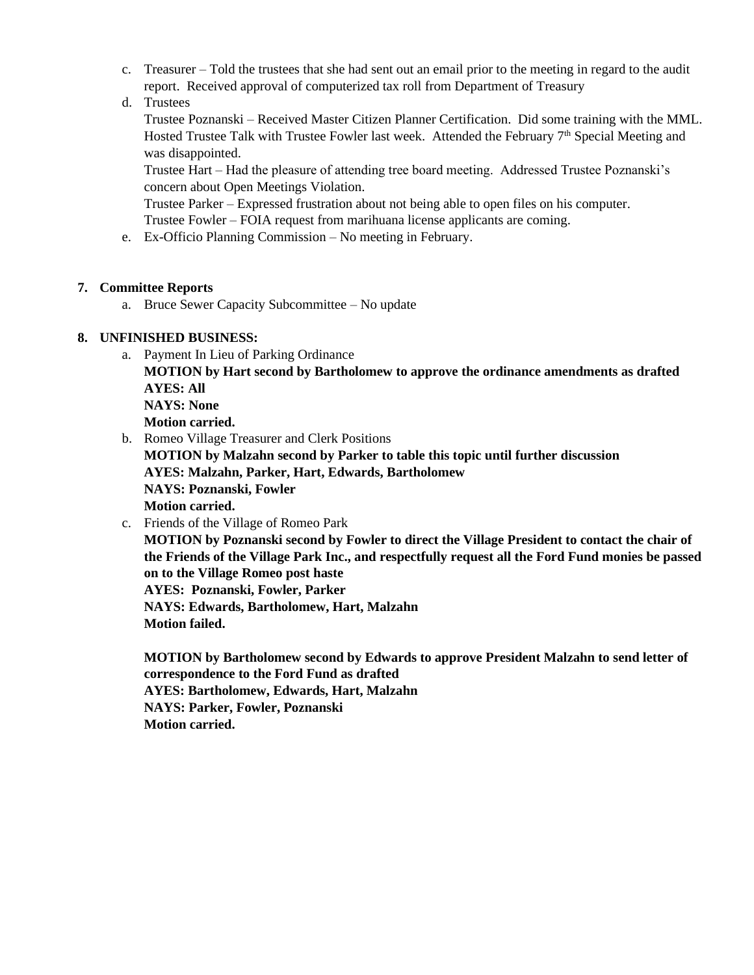- c. Treasurer Told the trustees that she had sent out an email prior to the meeting in regard to the audit report. Received approval of computerized tax roll from Department of Treasury
- d. Trustees

Trustee Poznanski – Received Master Citizen Planner Certification. Did some training with the MML. Hosted Trustee Talk with Trustee Fowler last week. Attended the February 7<sup>th</sup> Special Meeting and was disappointed.

Trustee Hart – Had the pleasure of attending tree board meeting. Addressed Trustee Poznanski's concern about Open Meetings Violation.

Trustee Parker – Expressed frustration about not being able to open files on his computer. Trustee Fowler – FOIA request from marihuana license applicants are coming.

e. Ex-Officio Planning Commission – No meeting in February.

### **7. Committee Reports**

a. Bruce Sewer Capacity Subcommittee – No update

## **8. UNFINISHED BUSINESS:**

a. Payment In Lieu of Parking Ordinance

**MOTION by Hart second by Bartholomew to approve the ordinance amendments as drafted AYES: All NAYS: None**

**Motion carried.** 

b. Romeo Village Treasurer and Clerk Positions

**MOTION by Malzahn second by Parker to table this topic until further discussion AYES: Malzahn, Parker, Hart, Edwards, Bartholomew NAYS: Poznanski, Fowler Motion carried.** 

c. Friends of the Village of Romeo Park

**MOTION by Poznanski second by Fowler to direct the Village President to contact the chair of the Friends of the Village Park Inc., and respectfully request all the Ford Fund monies be passed on to the Village Romeo post haste AYES: Poznanski, Fowler, Parker**

**NAYS: Edwards, Bartholomew, Hart, Malzahn Motion failed.** 

**MOTION by Bartholomew second by Edwards to approve President Malzahn to send letter of correspondence to the Ford Fund as drafted AYES: Bartholomew, Edwards, Hart, Malzahn NAYS: Parker, Fowler, Poznanski Motion carried.**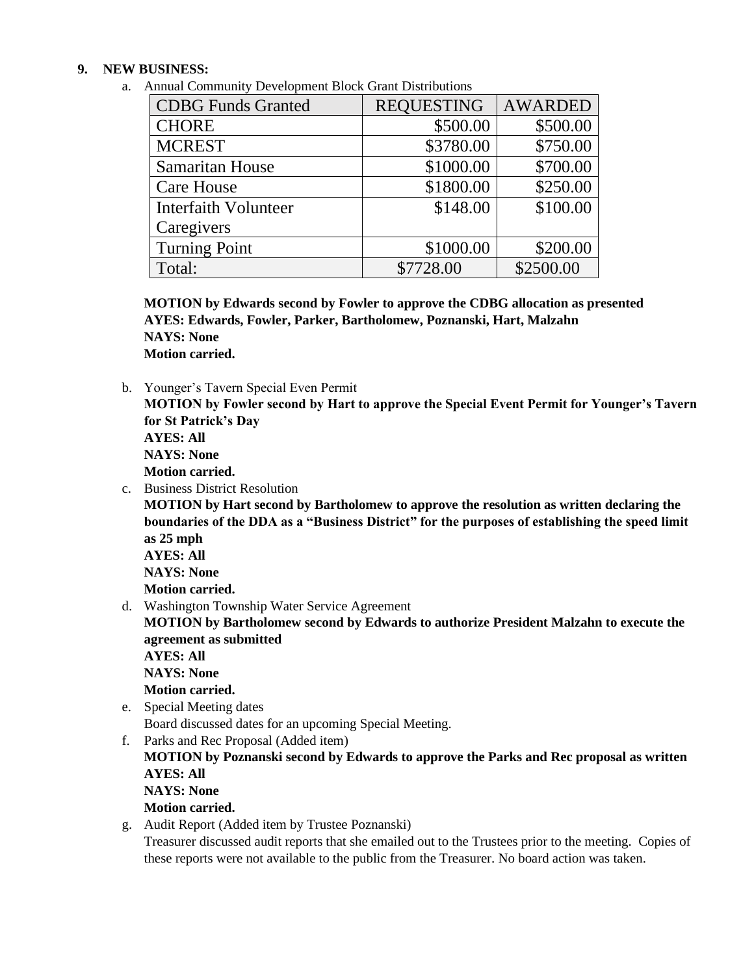#### **9. NEW BUSINESS:**

a. Annual Community Development Block Grant Distributions

| <b>CDBG</b> Funds Granted   | <b>REQUESTING</b> | <b>AWARDED</b> |
|-----------------------------|-------------------|----------------|
| <b>CHORE</b>                | \$500.00          | \$500.00       |
| <b>MCREST</b>               | \$3780.00         | \$750.00       |
| <b>Samaritan House</b>      | \$1000.00         | \$700.00       |
| <b>Care House</b>           | \$1800.00         | \$250.00       |
| <b>Interfaith Volunteer</b> | \$148.00          | \$100.00       |
| Caregivers                  |                   |                |
| <b>Turning Point</b>        | \$1000.00         | \$200.00       |
| Total:                      | \$7728.00         | \$2500.00      |

**MOTION by Edwards second by Fowler to approve the CDBG allocation as presented AYES: Edwards, Fowler, Parker, Bartholomew, Poznanski, Hart, Malzahn NAYS: None Motion carried.** 

b. Younger's Tavern Special Even Permit

**MOTION by Fowler second by Hart to approve the Special Event Permit for Younger's Tavern for St Patrick's Day AYES: All** 

**NAYS: None**

**Motion carried.**

c. Business District Resolution

**MOTION by Hart second by Bartholomew to approve the resolution as written declaring the boundaries of the DDA as a "Business District" for the purposes of establishing the speed limit as 25 mph**

**AYES: All NAYS: None Motion carried.** 

d. Washington Township Water Service Agreement

**MOTION by Bartholomew second by Edwards to authorize President Malzahn to execute the agreement as submitted**

**AYES: All NAYS: None Motion carried.** 

e. Special Meeting dates

Board discussed dates for an upcoming Special Meeting.

f. Parks and Rec Proposal (Added item)

**MOTION by Poznanski second by Edwards to approve the Parks and Rec proposal as written AYES: All** 

**NAYS: None**

**Motion carried.** 

g. Audit Report (Added item by Trustee Poznanski)

Treasurer discussed audit reports that she emailed out to the Trustees prior to the meeting. Copies of these reports were not available to the public from the Treasurer. No board action was taken.